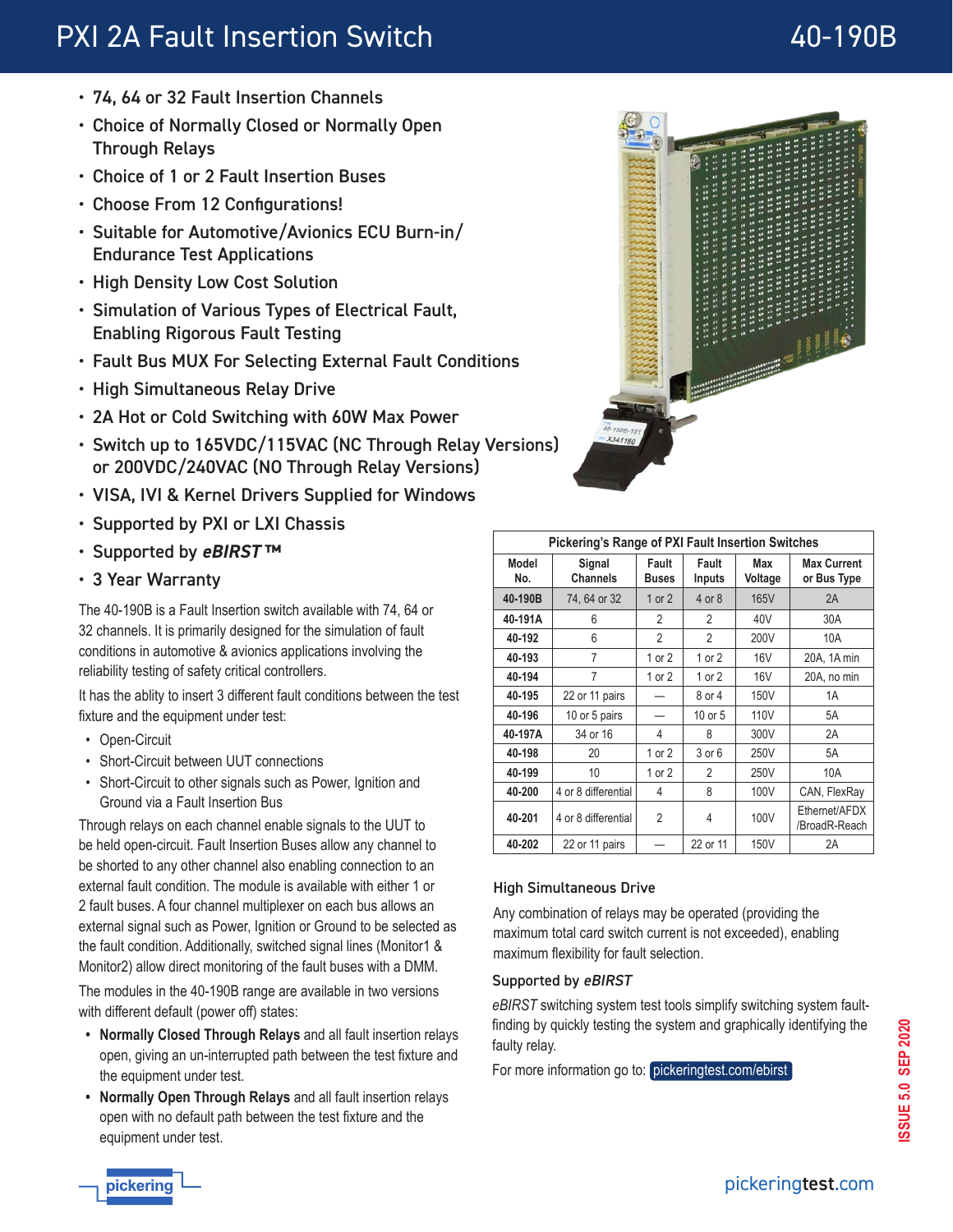# PXI 2A Fault Insertion Switch **40-190B**

- 74, 64 or 32 Fault Insertion Channels
- Choice of Normally Closed or Normally Open Through Relays
- Choice of 1 or 2 Fault Insertion Buses
- Choose From 12 Configurations!
- Suitable for Automotive/Avionics ECU Burn-in/ Endurance Test Applications
- High Density Low Cost Solution
- Simulation of Various Types of Electrical Fault, Enabling Rigorous Fault Testing
- Fault Bus MUX For Selecting External Fault Conditions
- High Simultaneous Relay Drive
- 2A Hot or Cold Switching with 60W Max Power
- Switch up to 165VDC/115VAC (NC Through Relay Versions) or 200VDC/240VAC (NO Through Relay Versions)
- VISA, IVI & Kernel Drivers Supplied for Windows
- Supported by PXI or LXI Chassis
- Supported by **eBIRST ™**
- 3 Year Warranty

The 40-190B is a Fault Insertion switch available with 74, 64 or 32 channels. It is primarily designed for the simulation of fault conditions in automotive & avionics applications involving the reliability testing of safety critical controllers.

It has the ablity to insert 3 different fault conditions between the test fixture and the equipment under test:

- Open-Circuit
- Short-Circuit between UUT connections
- Short-Circuit to other signals such as Power, Ignition and Ground via a Fault Insertion Bus

Through relays on each channel enable signals to the UUT to be held open-circuit. Fault Insertion Buses allow any channel to be shorted to any other channel also enabling connection to an external fault condition. The module is available with either 1 or 2 fault buses. A four channel multiplexer on each bus allows an external signal such as Power, Ignition or Ground to be selected as the fault condition. Additionally, switched signal lines (Monitor1 & Monitor2) allow direct monitoring of the fault buses with a DMM.

The modules in the 40-190B range are available in two versions with different default (power off) states:

- **• Normally Closed Through Relays** and all fault insertion relays open, giving an un-interrupted path between the test fixture and the equipment under test.
- **• Normally Open Through Relays** and all fault insertion relays open with no default path between the test fixture and the equipment under test.



| <b>Pickering's Range of PXI Fault Insertion Switches</b> |                     |                       |                        |                  |                                   |
|----------------------------------------------------------|---------------------|-----------------------|------------------------|------------------|-----------------------------------|
| Model<br>No.                                             | Signal<br>Channels  | Fault<br><b>Buses</b> | Fault<br><b>Inputs</b> | Max<br>Voltage   | <b>Max Current</b><br>or Bus Type |
| 40-190B                                                  | 74, 64 or 32        | 1 or $2$              | 4 or 8                 | 165V             | 2A                                |
| 40-191A                                                  | 6                   | 2                     | 2                      | 40V              | 30A                               |
| 40-192                                                   | 6                   | 2                     | $\mathfrak{p}$         | 200V             | 10A                               |
| 40-193                                                   | 7                   | $1$ or $2$            | 1 or $2$               | 16V              | 20A, 1A min                       |
| 40-194                                                   | 7                   | $1$ or $2$            | $1$ or $2$             | <b>16V</b>       | 20A, no min                       |
| 40-195                                                   | 22 or 11 pairs      |                       | 8 or 4                 | 150V             | 1A                                |
| 40-196                                                   | 10 or 5 pairs       |                       | 10 or 5                | 110 <sub>V</sub> | 5A                                |
| 40-197A                                                  | 34 or 16            | 4                     | 8                      | 300V             | 2A                                |
| 40-198                                                   | 20                  | 1 or $2$              | 3 or 6                 | 250V             | 5A                                |
| 40-199                                                   | 10                  | $1$ or $2$            | $\mathfrak{p}$         | 250V             | 10A                               |
| 40-200                                                   | 4 or 8 differential | 4                     | 8                      | 100V             | CAN, FlexRay                      |
| 40-201                                                   | 4 or 8 differential | $\overline{2}$        | 4                      | 100V             | Ethernet/AFDX<br>/BroadR-Reach    |
| 40-202                                                   | 22 or 11 pairs      |                       | 22 or 11               | 150V             | 2A                                |

#### High Simultaneous Drive

Any combination of relays may be operated (providing the maximum total card switch current is not exceeded), enabling maximum flexibility for fault selection.

#### Supported by eBIRST

*eBIRST* switching system test tools simplify switching system faultfinding by quickly testing the system and graphically identifying the faulty relay.

For more information go to: [pickeringtest.com/ebirst](http://www.pickeringtest.com/ebirst)

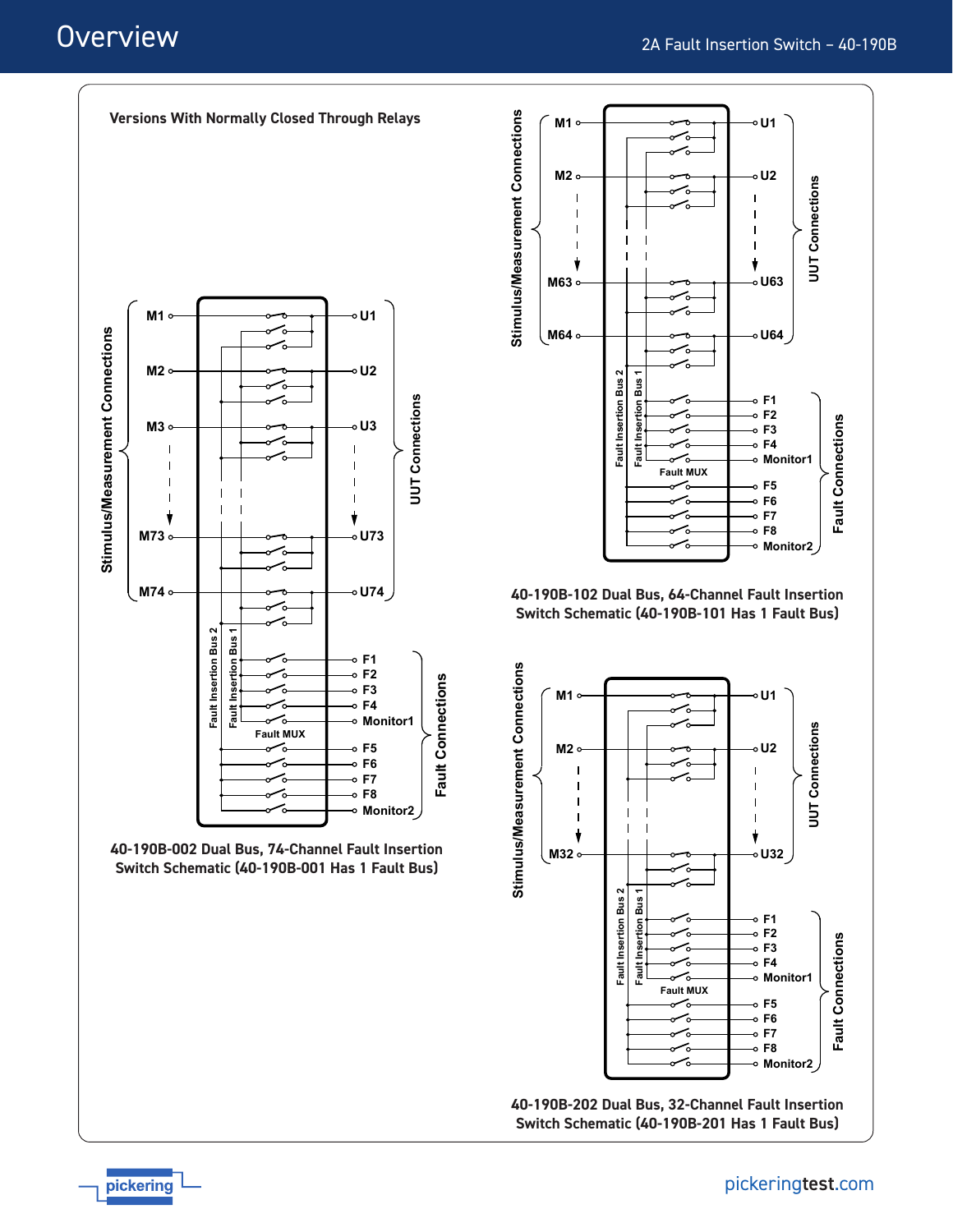# **Overview**



**Versions With Normally Closed Through Relays**



pickering



**40-190B-102 Dual Bus, 64-Channel Fault Insertion Switch Schematic (40-190B-101 Has 1 Fault Bus)**



pickeringtest.com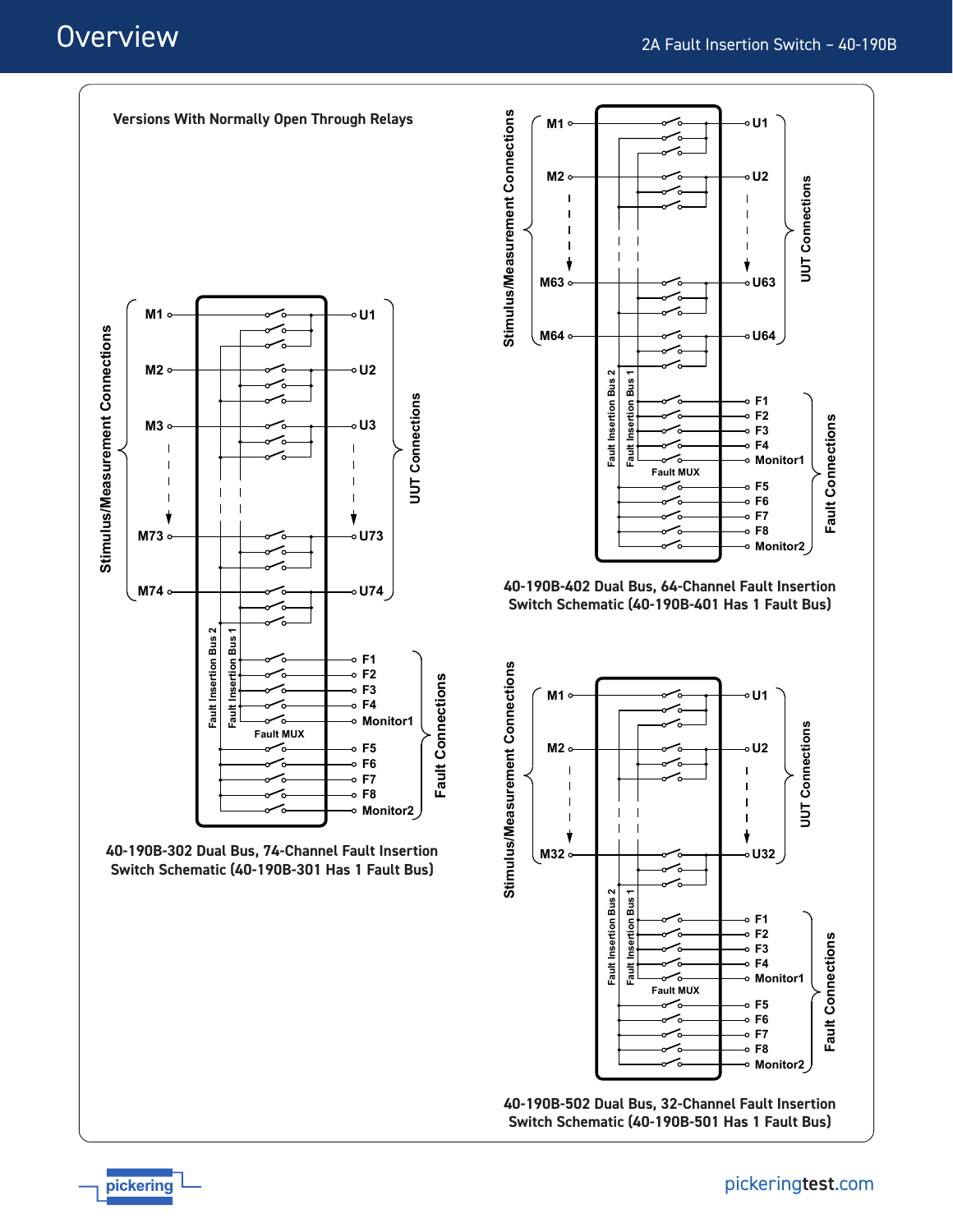# **Overview**



**Versions With Normally Open Through Relays**





**40-190B-402 Dual Bus, 64-Channel Fault Insertion Switch Schematic (40-190B-401 Has 1 Fault Bus)**



**40-190B-502 Dual Bus, 32-Channel Fault Insertion Switch Schematic (40-190B-501 Has 1 Fault Bus)**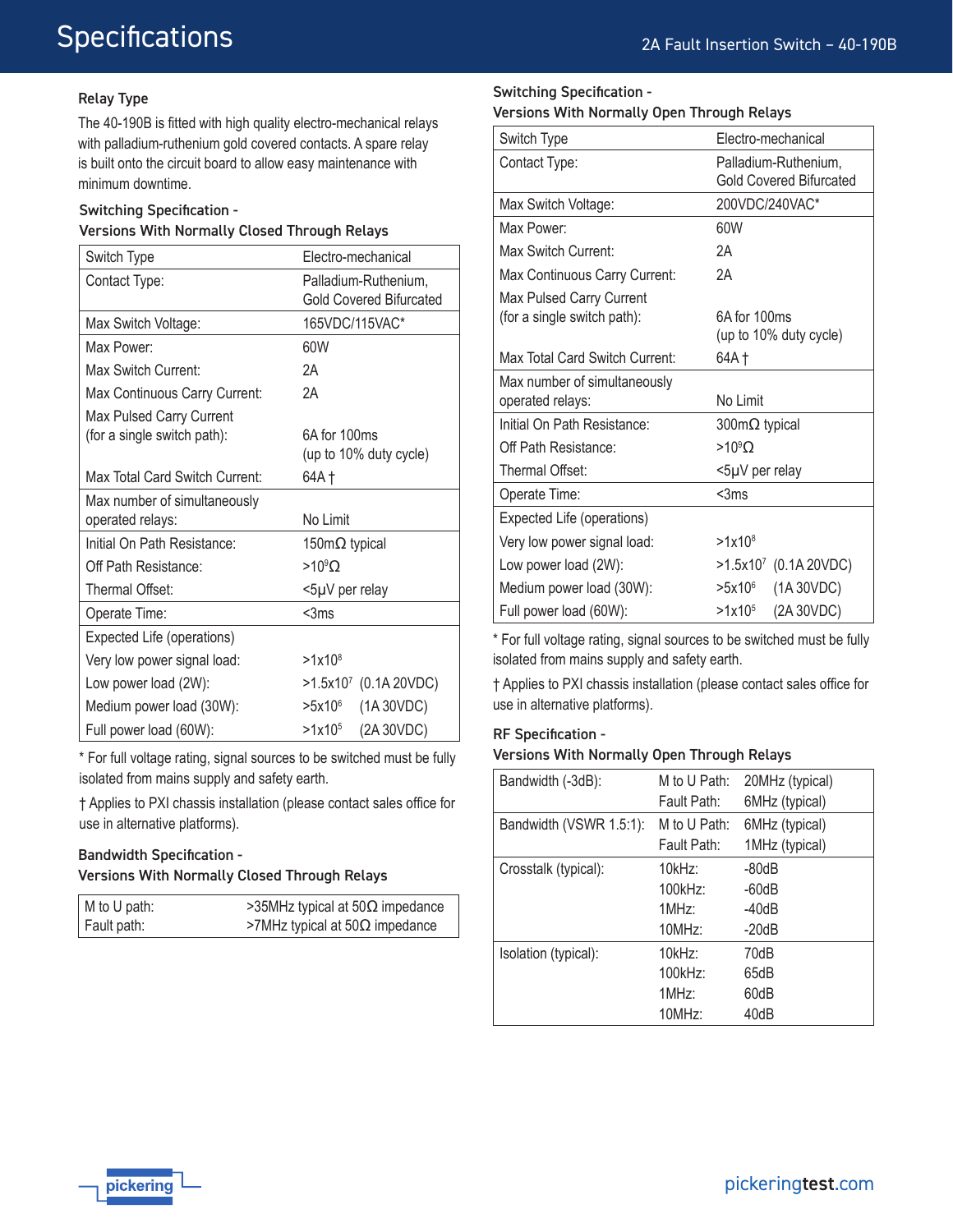# Relay Type

The 40-190B is fitted with high quality electro-mechanical relays with palladium-ruthenium gold covered contacts. A spare relay is built onto the circuit board to allow easy maintenance with minimum downtime.

### Switching Specification -

#### Versions With Normally Closed Through Relays

| Switch Type                    | Electro-mechanical             |
|--------------------------------|--------------------------------|
| Contact Type:                  | Palladium-Ruthenium.           |
|                                | <b>Gold Covered Bifurcated</b> |
| Max Switch Voltage:            | 165VDC/115VAC*                 |
| Max Power:                     | 60W                            |
| Max Switch Current:            | 2A                             |
| Max Continuous Carry Current:  | 2Α                             |
| Max Pulsed Carry Current       |                                |
| (for a single switch path):    | 6A for 100ms                   |
|                                | (up to 10% duty cycle)         |
| Max Total Card Switch Current: | 64A †                          |
| Max number of simultaneously   |                                |
| operated relays:               | No Limit                       |
| Initial On Path Resistance:    | 150m $\Omega$ typical          |
| Off Path Resistance:           | $>10^9$ O                      |
| Thermal Offset:                | <5µV per relay                 |
| Operate Time:                  | $<$ 3 $ms$                     |
| Expected Life (operations)     |                                |
| Very low power signal load:    | $>1x10^8$                      |
| Low power load (2W):           | $>1.5x107$ (0.1A 20VDC)        |
| Medium power load (30W):       | (1A 30VDC)<br>$>5x10^6$        |
| Full power load (60W):         | (2A 30VDC)<br>$>1x10^5$        |

\* For full voltage rating, signal sources to be switched must be fully isolated from mains supply and safety earth.

† Applies to PXI chassis installation (please contact sales office for use in alternative platforms).

# Bandwidth Specification - Versions With Normally Closed Through Relays

| M to U path:    | >35MHz typical at 50 $\Omega$ impedance |
|-----------------|-----------------------------------------|
| ∣ Fault path: l | >7MHz typical at $50\Omega$ impedance   |

#### Switching Specification -

|  |  | Versions With Normally Open Through Relays |  |  |  |
|--|--|--------------------------------------------|--|--|--|
|--|--|--------------------------------------------|--|--|--|

| Switch Type                    | Electro-mechanical             |
|--------------------------------|--------------------------------|
| Contact Type:                  | Palladium-Ruthenium,           |
|                                | <b>Gold Covered Bifurcated</b> |
| Max Switch Voltage:            | 200VDC/240VAC*                 |
| Max Power                      | 60W                            |
| Max Switch Current:            | 2Α                             |
| Max Continuous Carry Current:  | 2A                             |
| Max Pulsed Carry Current       |                                |
| (for a single switch path):    | 6A for 100ms                   |
|                                | (up to 10% duty cycle)         |
| Max Total Card Switch Current: | 64A †                          |
| Max number of simultaneously   |                                |
| operated relays:               | No Limit                       |
| Initial On Path Resistance:    | $300 \text{m}\Omega$ typical   |
| Off Path Resistance:           | $>10^9$ O                      |
| Thermal Offset:                | <5µV per relay                 |
| Operate Time:                  | <3ms                           |
| Expected Life (operations)     |                                |
| Very low power signal load:    | $>1x10^8$                      |
| Low power load (2W):           | >1.5x107 (0.1A 20VDC)          |
| Medium power load (30W):       | (1A 30VDC)<br>>5x10°           |
| Full power load (60W):         | (2A 30VDC)<br>$>1x10^5$        |

\* For full voltage rating, signal sources to be switched must be fully isolated from mains supply and safety earth.

† Applies to PXI chassis installation (please contact sales office for use in alternative platforms).

#### RF Specification -

#### Versions With Normally Open Through Relays

| Bandwidth (-3dB):       | M to U Path:<br>Fault Path:          | 20MHz (typical)<br>6MHz (typical)        |
|-------------------------|--------------------------------------|------------------------------------------|
| Bandwidth (VSWR 1.5:1): | M to U Path:<br>Fault Path:          | 6MHz (typical)<br>1MHz (typical)         |
| Crosstalk (typical):    | 10kHz<br>$100$ kHz:<br>1MHz<br>10MHz | $-80dB$<br>$-60dB$<br>$-40dB$<br>$-20dB$ |
| Isolation (typical):    | 10kHz<br>100kHz:<br>1MHz<br>10MHz    | 70dB<br>65dB<br>60dB<br>40dB             |

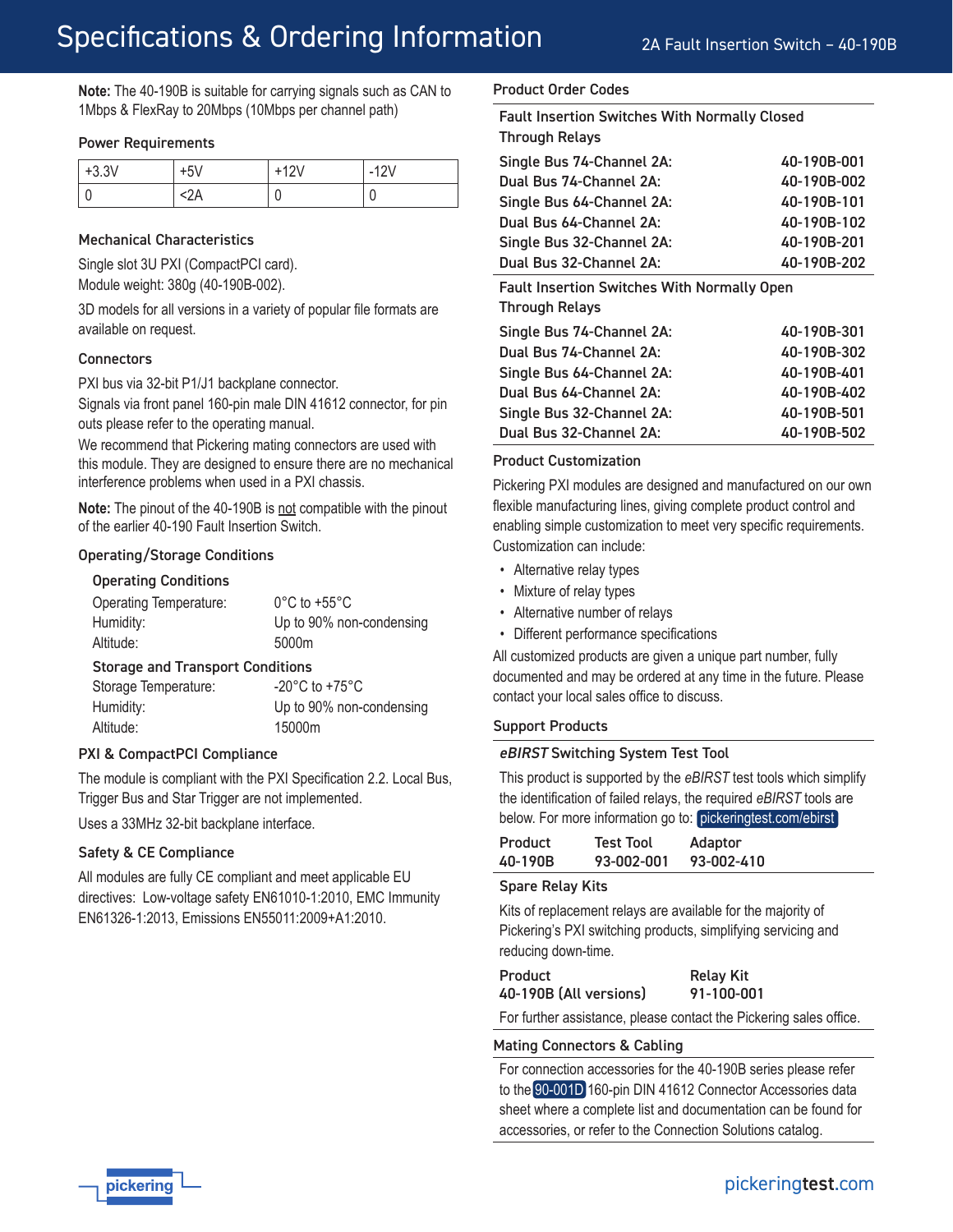2A Fault Insertion Switch – 40-190B

**Note:** The 40-190B is suitable for carrying signals such as CAN to 1Mbps & FlexRay to 20Mbps (10Mbps per channel path)

#### Power Requirements

| $+3.3V$ | $\mathbf{r}$<br>+υν | 2V<br>$-1$ |
|---------|---------------------|------------|
|         |                     |            |

#### Mechanical Characteristics

Single slot 3U PXI (CompactPCI card). Module weight: 380g (40-190B-002).

3D models for all versions in a variety of popular file formats are available on request.

#### **Connectors**

PXI bus via 32-bit P1/J1 backplane connector.

Signals via front panel 160-pin male DIN 41612 connector, for pin outs please refer to the operating manual.

We recommend that Pickering mating connectors are used with this module. They are designed to ensure there are no mechanical interference problems when used in a PXI chassis.

**Note:** The pinout of the 40-190B is not compatible with the pinout of the earlier 40-190 Fault Insertion Switch.

#### Operating/Storage Conditions

#### Operating Conditions

| <b>Operating Temperature:</b>           | $0^{\circ}$ C to +55 $^{\circ}$ C |  |
|-----------------------------------------|-----------------------------------|--|
| Humidity:                               | Up to 90% non-condensing          |  |
| Altitude:                               | 5000m                             |  |
| <b>Storage and Transport Conditions</b> |                                   |  |

| Storage Temperature: | $-20^{\circ}$ C to $+75^{\circ}$ C |
|----------------------|------------------------------------|
| Humidity:            | Up to 90% non-condensing           |
| Altitude:            | 15000m                             |

#### PXI & CompactPCI Compliance

The module is compliant with the PXI Specification 2.2. Local Bus, Trigger Bus and Star Trigger are not implemented.

Uses a 33MHz 32-bit backplane interface.

#### Safety & CE Compliance

All modules are fully CE compliant and meet applicable EU directives: Low-voltage safety EN61010-1:2010, EMC Immunity EN61326-1:2013, Emissions EN55011:2009+A1:2010.

#### Product Order Codes

Fault Insertion Switches With Normally Closed Through Relays

| Single Bus 74-Channel 2A: | 40-190B-001 |
|---------------------------|-------------|
| Dual Bus 74-Channel 2A:   | 40-190B-002 |
| Single Bus 64-Channel 2A: | 40-190B-101 |
| Dual Bus 64-Channel 2A:   | 40-190B-102 |
| Single Bus 32-Channel 2A: | 40-190B-201 |
| Dual Bus 32-Channel 2A:   | 40-190B-202 |
|                           |             |

Fault Insertion Switches With Normally Open

Through Relays

| 40-190B-301 |
|-------------|
| 40-190B-302 |
| 40-190B-401 |
| 40-190B-402 |
| 40-190B-501 |
| 40-190B-502 |
|             |

#### Product Customization

Pickering PXI modules are designed and manufactured on our own flexible manufacturing lines, giving complete product control and enabling simple customization to meet very specific requirements. Customization can include:

- Alternative relay types
- Mixture of relay types
- Alternative number of relays
- Different performance specifications

All customized products are given a unique part number, fully documented and may be ordered at any time in the future. Please contact your local sales office to discuss.

#### Support Products

#### eBIRST Switching System Test Tool

This product is supported by the *eBIRST* test tools which simplify the identification of failed relays, the required *eBIRST* tools are below. For more information go to: [pickeringtest.com/ebirst](http://www.pickeringtest.com/ebirst)

| <b>Product</b> | <b>Test Tool</b> | Adaptor    |
|----------------|------------------|------------|
| 40-190B        | 93-002-001       | 93-002-410 |

#### Spare Relay Kits

Kits of replacement relays are available for the majority of Pickering's PXI switching products, simplifying servicing and reducing down-time.

Product Relay Kit 40-190B (All versions) 91-100-001

For further assistance, please contact the Pickering sales office.

#### Mating Connectors & Cabling

For connection accessories for the 40-190B series please refer to the [90-001D](http://www.pickeringtest.com/content/downloads/datasheets/90-001D.pdf) 160-pin DIN 41612 Connector Accessories data sheet where a complete list and documentation can be found for accessories, or refer to the Connection Solutions catalog.

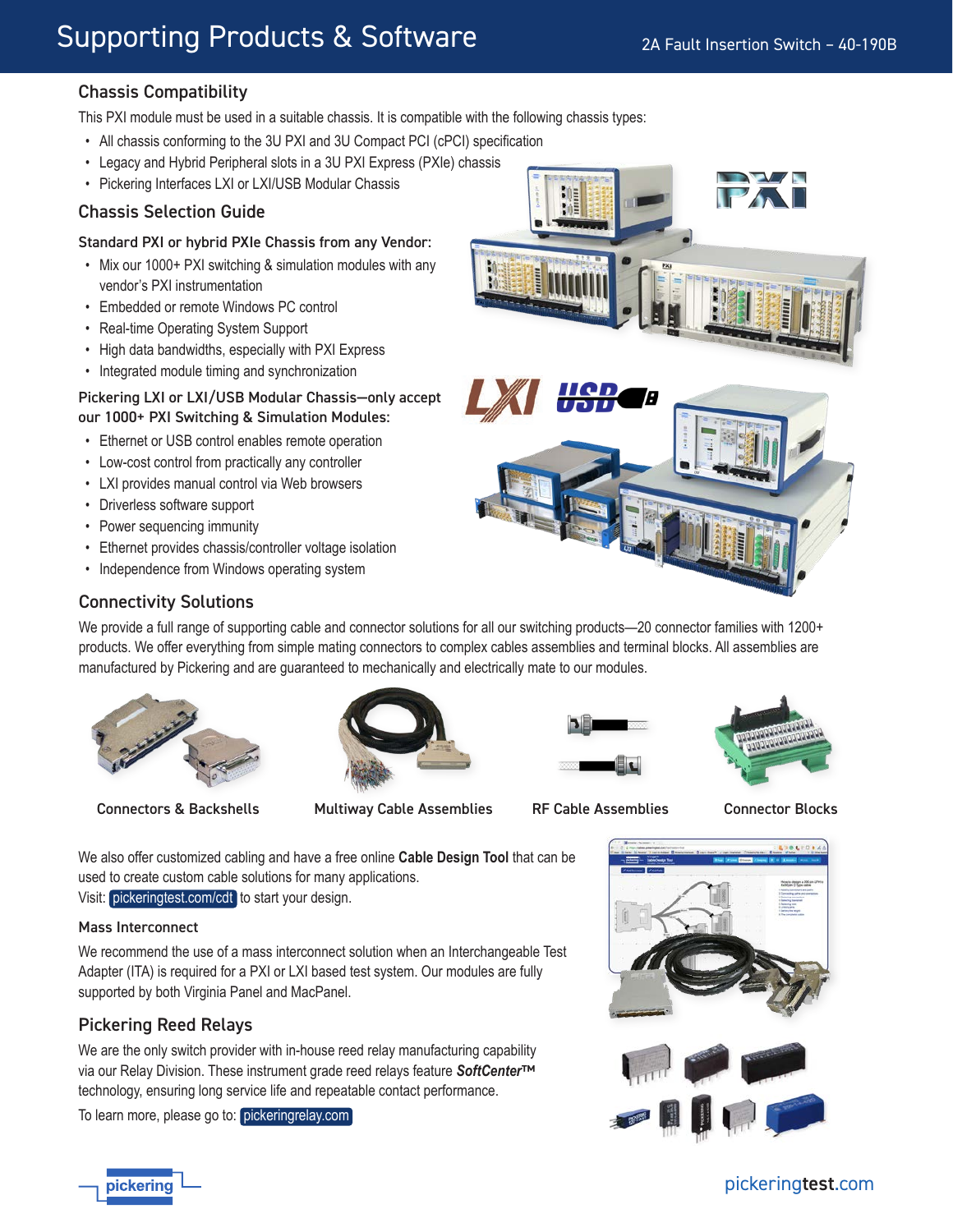# Supporting Products & Software

# Chassis Compatibility

This PXI module must be used in a suitable chassis. It is compatible with the following chassis types:

- All chassis conforming to the 3U PXI and 3U Compact PCI (cPCI) specification
- Legacy and Hybrid Peripheral slots in a 3U PXI Express (PXIe) chassis
- Pickering Interfaces LXI or LXI/USB Modular Chassis

# Chassis Selection Guide

#### Standard PXI or hybrid PXIe Chassis from any Vendor:

- Mix our 1000+ PXI switching & simulation modules with any vendor's PXI instrumentation
- Embedded or remote Windows PC control
- Real-time Operating System Support
- High data bandwidths, especially with PXI Express
- Integrated module timing and synchronization

#### Pickering LXI or LXI/USB Modular Chassis—only accept our 1000+ PXI Switching & Simulation Modules:

- Ethernet or USB control enables remote operation
- Low-cost control from practically any controller
- LXI provides manual control via Web browsers
- Driverless software support
- Power sequencing immunity
- Ethernet provides chassis/controller voltage isolation
- Independence from Windows operating system



### Connectivity Solutions

We provide a full range of supporting cable and connector solutions for all our switching products—20 connector families with 1200+ products. We offer everything from simple mating connectors to complex cables assemblies and terminal blocks. All assemblies are manufactured by Pickering and are guaranteed to mechanically and electrically mate to our modules.



Connectors & Backshells Multiway Cable Assemblies RF Cable Assemblies Connector Blocks







We also offer customized cabling and have a free online **Cable Design Tool** that can be used to create custom cable solutions for many applications.

Visit: [pickeringtest.com/cdt](http://www.pickeringtest.com/cdt) to start your design.

### Mass Interconnect

We recommend the use of a mass interconnect solution when an Interchangeable Test Adapter (ITA) is required for a PXI or LXI based test system. Our modules are fully supported by both Virginia Panel and MacPanel.

# Pickering Reed Relays

We are the only switch provider with in-house reed relay manufacturing capability via our Relay Division. These instrument grade reed relays feature *SoftCenter*™ technology, ensuring long service life and repeatable contact performance.

To learn more, please go to: [pickeringrelay.com](http://www.pickeringrelay.com)